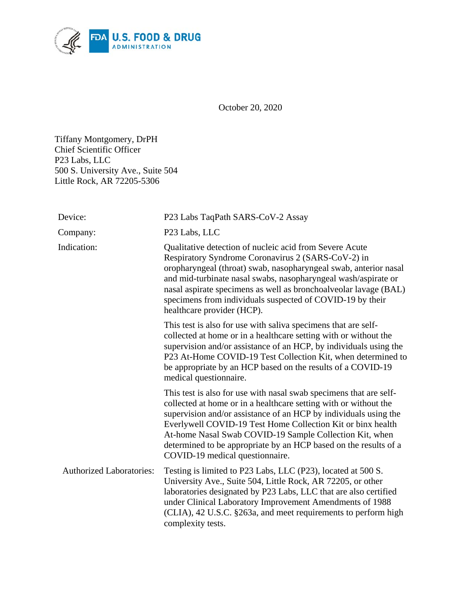

October 20, 2020

Tiffany Montgomery, DrPH Chief Scientific Officer P23 Labs, LLC 500 S. University Ave., Suite 504 Little Rock, AR 72205-5306

| Device:                         | P23 Labs TaqPath SARS-CoV-2 Assay                                                                                                                                                                                                                                                                                                                                                                                                           |
|---------------------------------|---------------------------------------------------------------------------------------------------------------------------------------------------------------------------------------------------------------------------------------------------------------------------------------------------------------------------------------------------------------------------------------------------------------------------------------------|
| Company:                        | P <sub>23</sub> Labs, LLC                                                                                                                                                                                                                                                                                                                                                                                                                   |
| Indication:                     | Qualitative detection of nucleic acid from Severe Acute<br>Respiratory Syndrome Coronavirus 2 (SARS-CoV-2) in<br>oropharyngeal (throat) swab, nasopharyngeal swab, anterior nasal<br>and mid-turbinate nasal swabs, nasopharyngeal wash/aspirate or<br>nasal aspirate specimens as well as bronchoalveolar lavage (BAL)<br>specimens from individuals suspected of COVID-19 by their<br>healthcare provider (HCP).                          |
|                                 | This test is also for use with saliva specimens that are self-<br>collected at home or in a healthcare setting with or without the<br>supervision and/or assistance of an HCP, by individuals using the<br>P23 At-Home COVID-19 Test Collection Kit, when determined to<br>be appropriate by an HCP based on the results of a COVID-19<br>medical questionnaire.                                                                            |
|                                 | This test is also for use with nasal swab specimens that are self-<br>collected at home or in a healthcare setting with or without the<br>supervision and/or assistance of an HCP by individuals using the<br>Everlywell COVID-19 Test Home Collection Kit or binx health<br>At-home Nasal Swab COVID-19 Sample Collection Kit, when<br>determined to be appropriate by an HCP based on the results of a<br>COVID-19 medical questionnaire. |
| <b>Authorized Laboratories:</b> | Testing is limited to P23 Labs, LLC (P23), located at 500 S.<br>University Ave., Suite 504, Little Rock, AR 72205, or other<br>laboratories designated by P23 Labs, LLC that are also certified<br>under Clinical Laboratory Improvement Amendments of 1988<br>(CLIA), 42 U.S.C. §263a, and meet requirements to perform high<br>complexity tests.                                                                                          |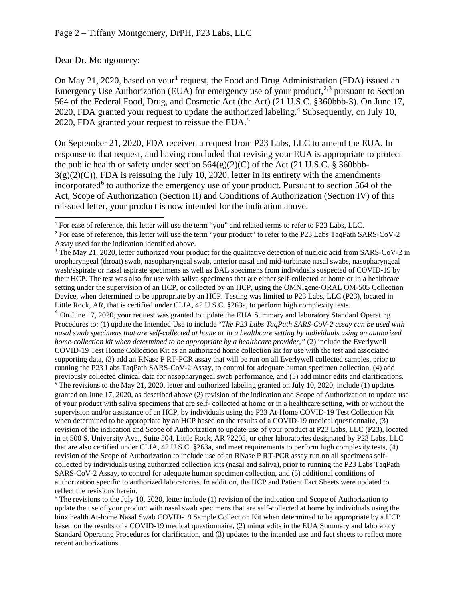Dear Dr. Montgomery:

On May 2[1](#page-1-0), 2020, based on your<sup>1</sup> request, the Food and Drug Administration (FDA) issued an Emergency Use Authorization (EUA) for emergency use of your product,<sup>[2](#page-1-1),[3](#page-1-2)</sup> pursuant to Section 564 of the Federal Food, Drug, and Cosmetic Act (the Act) (21 U.S.C. §360bbb-3). On June 17, 2020, FDA granted your request to update the authorized labeling.<sup>[4](#page-1-3)</sup> Subsequently, on July 10, 2020, FDA granted your request to reissue the EUA.<sup>[5](#page-1-4)</sup>

On September 21, 2020, FDA received a request from P23 Labs, LLC to amend the EUA. In response to that request, and having concluded that revising your EUA is appropriate to protect the public health or safety under section  $564(g)(2)(C)$  of the Act (21 U.S.C. § 360bbb- $3(g)(2)(C)$ , FDA is reissuing the July 10, 2020, letter in its entirety with the amendments incorporated<sup> $6$ </sup> to authorize the emergency use of your product. Pursuant to section 564 of the Act, Scope of Authorization (Section II) and Conditions of Authorization (Section IV) of this reissued letter, your product is now intended for the indication above.

<span id="page-1-0"></span> $\overline{a}$ <sup>1</sup> For ease of reference, this letter will use the term "you" and related terms to refer to P23 Labs, LLC.

<span id="page-1-4"></span><span id="page-1-3"></span> $<sup>4</sup>$  On June 17, 2020, your request was granted to update the EUA Summary and laboratory Standard Operating</sup> Procedures to: (1) update the Intended Use to include "*The P23 Labs TaqPath SARS-CoV-2 assay can be used with nasal swab specimens that are self-collected at home or in a healthcare setting by individuals using an authorized home-collection kit when determined to be appropriate by a healthcare provider,"* (2) include the Everlywell COVID-19 Test Home Collection Kit as an authorized home collection kit for use with the test and associated supporting data, (3) add an RNase P RT-PCR assay that will be run on all Everlywell collected samples, prior to running the P23 Labs TaqPath SARS-CoV-2 Assay, to control for adequate human specimen collection, (4) add previously collected clinical data for nasopharyngeal swab performance, and (5) add minor edits and clarifications. <sup>5</sup> The revisions to the May 21, 2020, letter and authorized labeling granted on July 10, 2020, include (1) updates granted on June 17, 2020, as described above (2) revision of the indication and Scope of Authorization to update use of your product with saliva specimens that are self- collected at home or in a healthcare setting, with or without the supervision and/or assistance of an HCP, by individuals using the P23 At-Home COVID-19 Test Collection Kit when determined to be appropriate by an HCP based on the results of a COVID-19 medical questionnaire, (3) revision of the indication and Scope of Authorization to update use of your product at P23 Labs, LLC (P23), located in at 500 S. University Ave., Suite 504, Little Rock, AR 72205, or other laboratories designated by P23 Labs, LLC that are also certified under CLIA, 42 U.S.C. §263a, and meet requirements to perform high complexity tests, (4) revision of the Scope of Authorization to include use of an RNase P RT-PCR assay run on all specimens selfcollected by individuals using authorized collection kits (nasal and saliva), prior to running the P23 Labs TaqPath SARS-CoV-2 Assay, to control for adequate human specimen collection, and (5) additional conditions of authorization specific to authorized laboratories. In addition, the HCP and Patient Fact Sheets were updated to reflect the revisions herein.

<span id="page-1-5"></span> $6$  The revisions to the July 10, 2020, letter include (1) revision of the indication and Scope of Authorization to update the use of your product with nasal swab specimens that are self-collected at home by individuals using the binx health At-home Nasal Swab COVID-19 Sample Collection Kit when determined to be appropriate by a HCP based on the results of a COVID-19 medical questionnaire, (2) minor edits in the EUA Summary and laboratory Standard Operating Procedures for clarification, and (3) updates to the intended use and fact sheets to reflect more recent authorizations.

<span id="page-1-1"></span><sup>&</sup>lt;sup>2</sup> For ease of reference, this letter will use the term "your product" to refer to the P23 Labs TaqPath SARS-CoV-2 Assay used for the indication identified above.

<span id="page-1-2"></span><sup>&</sup>lt;sup>3</sup> The May 21, 2020, letter authorized your product for the qualitative detection of nucleic acid from SARS-CoV-2 in oropharyngeal (throat) swab, nasopharyngeal swab, anterior nasal and mid-turbinate nasal swabs, nasopharyngeal wash/aspirate or nasal aspirate specimens as well as BAL specimens from individuals suspected of COVID-19 by their HCP. The test was also for use with saliva specimens that are either self-collected at home or in a healthcare setting under the supervision of an HCP, or collected by an HCP, using the OMNIgene·ORAL OM-505 Collection Device, when determined to be appropriate by an HCP. Testing was limited to P23 Labs, LLC (P23), located in Little Rock, AR, that is certified under CLIA, 42 U.S.C. §263a, to perform high complexity tests.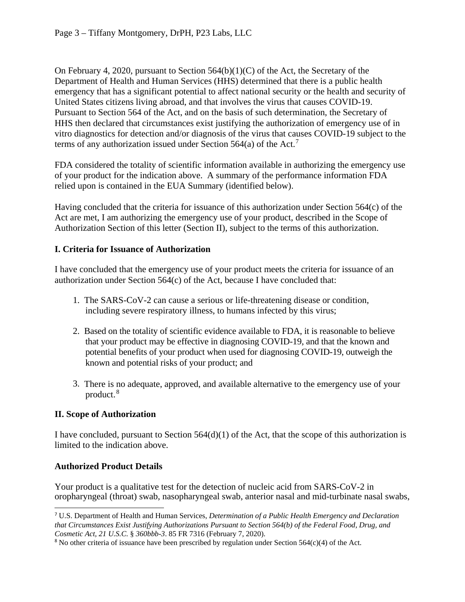On February 4, 2020, pursuant to Section 564(b)(1)(C) of the Act, the Secretary of the Department of Health and Human Services (HHS) determined that there is a public health emergency that has a significant potential to affect national security or the health and security of United States citizens living abroad, and that involves the virus that causes COVID-19. Pursuant to Section 564 of the Act, and on the basis of such determination, the Secretary of HHS then declared that circumstances exist justifying the authorization of emergency use of in vitro diagnostics for detection and/or diagnosis of the virus that causes COVID-19 subject to the terms of any authorization issued under Section  $564(a)$  of the Act.<sup>[7](#page-2-0)</sup>

FDA considered the totality of scientific information available in authorizing the emergency use of your product for the indication above. A summary of the performance information FDA relied upon is contained in the EUA Summary (identified below).

Having concluded that the criteria for issuance of this authorization under Section 564(c) of the Act are met, I am authorizing the emergency use of your product, described in the Scope of Authorization Section of this letter (Section II), subject to the terms of this authorization.

# **I. Criteria for Issuance of Authorization**

I have concluded that the emergency use of your product meets the criteria for issuance of an authorization under Section 564(c) of the Act, because I have concluded that:

- 1. The SARS-CoV-2 can cause a serious or life-threatening disease or condition, including severe respiratory illness, to humans infected by this virus;
- 2. Based on the totality of scientific evidence available to FDA, it is reasonable to believe that your product may be effective in diagnosing COVID-19, and that the known and potential benefits of your product when used for diagnosing COVID-19, outweigh the known and potential risks of your product; and
- 3. There is no adequate, approved, and available alternative to the emergency use of your product. [8](#page-2-1)

## **II. Scope of Authorization**

I have concluded, pursuant to Section 564(d)(1) of the Act, that the scope of this authorization is limited to the indication above.

## **Authorized Product Details**

Your product is a qualitative test for the detection of nucleic acid from SARS-CoV-2 in oropharyngeal (throat) swab, nasopharyngeal swab, anterior nasal and mid-turbinate nasal swabs,

<span id="page-2-0"></span> $\overline{a}$ <sup>7</sup> U.S. Department of Health and Human Services, *Determination of a Public Health Emergency and Declaration that Circumstances Exist Justifying Authorizations Pursuant to Section 564(b) of the Federal Food, Drug, and Cosmetic Act, 21 U.S.C.* § *360bbb-3*. 85 FR 7316 (February 7, 2020).

<span id="page-2-1"></span><sup>&</sup>lt;sup>8</sup> No other criteria of issuance have been prescribed by regulation under Section  $564(c)(4)$  of the Act.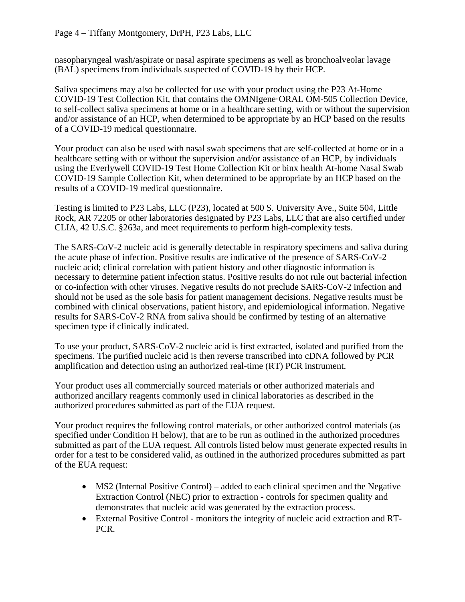nasopharyngeal wash/aspirate or nasal aspirate specimens as well as bronchoalveolar lavage (BAL) specimens from individuals suspected of COVID-19 by their HCP.

Saliva specimens may also be collected for use with your product using the P23 At-Home COVID-19 Test Collection Kit, that contains the OMNIgene·ORAL OM-505 Collection Device, to self-collect saliva specimens at home or in a healthcare setting, with or without the supervision and/or assistance of an HCP, when determined to be appropriate by an HCP based on the results of a COVID-19 medical questionnaire.

Your product can also be used with nasal swab specimens that are self-collected at home or in a healthcare setting with or without the supervision and/or assistance of an HCP, by individuals using the Everlywell COVID-19 Test Home Collection Kit or binx health At-home Nasal Swab COVID-19 Sample Collection Kit, when determined to be appropriate by an HCP based on the results of a COVID-19 medical questionnaire.

Testing is limited to P23 Labs, LLC (P23), located at 500 S. University Ave., Suite 504, Little Rock, AR 72205 or other laboratories designated by P23 Labs, LLC that are also certified under CLIA, 42 U.S.C. §263a, and meet requirements to perform high-complexity tests.

The SARS-CoV-2 nucleic acid is generally detectable in respiratory specimens and saliva during the acute phase of infection. Positive results are indicative of the presence of SARS-CoV-2 nucleic acid; clinical correlation with patient history and other diagnostic information is necessary to determine patient infection status. Positive results do not rule out bacterial infection or co-infection with other viruses. Negative results do not preclude SARS-CoV-2 infection and should not be used as the sole basis for patient management decisions. Negative results must be combined with clinical observations, patient history, and epidemiological information. Negative results for SARS-CoV-2 RNA from saliva should be confirmed by testing of an alternative specimen type if clinically indicated.

To use your product, SARS-CoV-2 nucleic acid is first extracted, isolated and purified from the specimens. The purified nucleic acid is then reverse transcribed into cDNA followed by PCR amplification and detection using an authorized real-time (RT) PCR instrument.

Your product uses all commercially sourced materials or other authorized materials and authorized ancillary reagents commonly used in clinical laboratories as described in the authorized procedures submitted as part of the EUA request.

Your product requires the following control materials, or other authorized control materials (as specified under Condition H below), that are to be run as outlined in the authorized procedures submitted as part of the EUA request. All controls listed below must generate expected results in order for a test to be considered valid, as outlined in the authorized procedures submitted as part of the EUA request:

- MS2 (Internal Positive Control) added to each clinical specimen and the Negative Extraction Control (NEC) prior to extraction - controls for specimen quality and demonstrates that nucleic acid was generated by the extraction process.
- External Positive Control monitors the integrity of nucleic acid extraction and RT-PCR.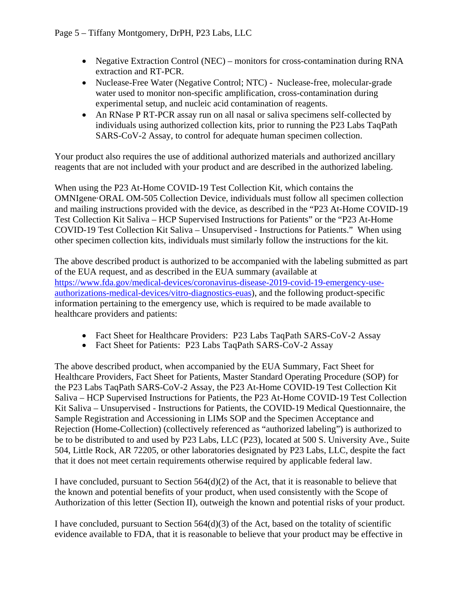- Negative Extraction Control (NEC) monitors for cross-contamination during RNA extraction and RT-PCR.
- Nuclease-Free Water (Negative Control; NTC) Nuclease-free, molecular-grade water used to monitor non-specific amplification, cross-contamination during experimental setup, and nucleic acid contamination of reagents.
- An RNase P RT-PCR assay run on all nasal or saliva specimens self-collected by individuals using authorized collection kits, prior to running the P23 Labs TaqPath SARS-CoV-2 Assay, to control for adequate human specimen collection.

Your product also requires the use of additional authorized materials and authorized ancillary reagents that are not included with your product and are described in the authorized labeling.

When using the P23 At-Home COVID-19 Test Collection Kit, which contains the OMNIgene·ORAL OM-505 Collection Device, individuals must follow all specimen collection and mailing instructions provided with the device, as described in the "P23 At-Home COVID-19 Test Collection Kit Saliva – HCP Supervised Instructions for Patients" or the "P23 At-Home COVID-19 Test Collection Kit Saliva – Unsupervised - Instructions for Patients." When using other specimen collection kits, individuals must similarly follow the instructions for the kit.

The above described product is authorized to be accompanied with the labeling submitted as part of the EUA request, and as described in the EUA summary (available at [https://www.fda.gov/medical-devices/coronavirus-disease-2019-covid-19-emergency-use](https://www.fda.gov/medical-devices/coronavirus-disease-2019-covid-19-emergency-use-authorizations-medical-devices/vitro-diagnostics-euas)[authorizations-medical-devices/vitro-diagnostics-euas\)](https://www.fda.gov/medical-devices/coronavirus-disease-2019-covid-19-emergency-use-authorizations-medical-devices/vitro-diagnostics-euas), and the following product-specific information pertaining to the emergency use, which is required to be made available to healthcare providers and patients:

- Fact Sheet for Healthcare Providers: P23 Labs TaqPath SARS-CoV-2 Assay
- Fact Sheet for Patients: P23 Labs TaqPath SARS-CoV-2 Assay

The above described product, when accompanied by the EUA Summary, Fact Sheet for Healthcare Providers, Fact Sheet for Patients, Master Standard Operating Procedure (SOP) for the P23 Labs TaqPath SARS-CoV-2 Assay, the P23 At-Home COVID-19 Test Collection Kit Saliva – HCP Supervised Instructions for Patients, the P23 At-Home COVID-19 Test Collection Kit Saliva – Unsupervised - Instructions for Patients, the COVID-19 Medical Questionnaire, the Sample Registration and Accessioning in LIMs SOP and the Specimen Acceptance and Rejection (Home-Collection) (collectively referenced as "authorized labeling") is authorized to be to be distributed to and used by P23 Labs, LLC (P23), located at 500 S. University Ave., Suite 504, Little Rock, AR 72205, or other laboratories designated by P23 Labs, LLC, despite the fact that it does not meet certain requirements otherwise required by applicable federal law.

I have concluded, pursuant to Section 564(d)(2) of the Act, that it is reasonable to believe that the known and potential benefits of your product, when used consistently with the Scope of Authorization of this letter (Section II), outweigh the known and potential risks of your product.

I have concluded, pursuant to Section  $564(d)(3)$  of the Act, based on the totality of scientific evidence available to FDA, that it is reasonable to believe that your product may be effective in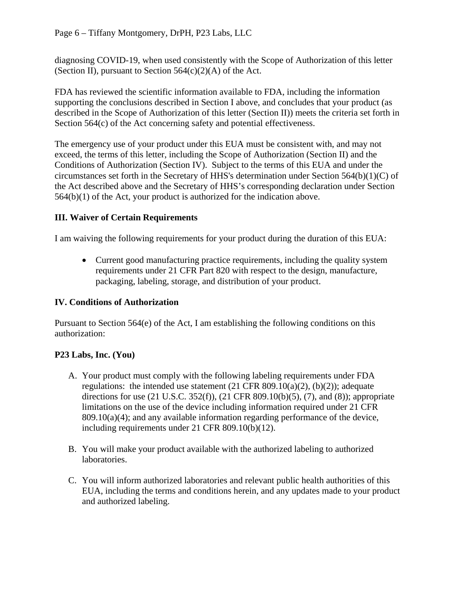diagnosing COVID-19, when used consistently with the Scope of Authorization of this letter (Section II), pursuant to Section  $564(c)(2)(A)$  of the Act.

FDA has reviewed the scientific information available to FDA, including the information supporting the conclusions described in Section I above, and concludes that your product (as described in the Scope of Authorization of this letter (Section II)) meets the criteria set forth in Section 564(c) of the Act concerning safety and potential effectiveness.

The emergency use of your product under this EUA must be consistent with, and may not exceed, the terms of this letter, including the Scope of Authorization (Section II) and the Conditions of Authorization (Section IV). Subject to the terms of this EUA and under the circumstances set forth in the Secretary of HHS's determination under Section 564(b)(1)(C) of the Act described above and the Secretary of HHS's corresponding declaration under Section 564(b)(1) of the Act, your product is authorized for the indication above.

# **III. Waiver of Certain Requirements**

I am waiving the following requirements for your product during the duration of this EUA:

• Current good manufacturing practice requirements, including the quality system requirements under 21 CFR Part 820 with respect to the design, manufacture, packaging, labeling, storage, and distribution of your product.

## **IV. Conditions of Authorization**

Pursuant to Section 564(e) of the Act, I am establishing the following conditions on this authorization:

# **P23 Labs, Inc. (You)**

- A. Your product must comply with the following labeling requirements under FDA regulations: the intended use statement  $(21 \text{ CFR } 809.10(a)(2)$ , (b) $(2)$ ); adequate directions for use (21 U.S.C. 352(f)), (21 CFR 809.10(b)(5), (7), and (8)); appropriate limitations on the use of the device including information required under 21 CFR  $809.10(a)(4)$ ; and any available information regarding performance of the device, including requirements under 21 CFR 809.10(b)(12).
- B. You will make your product available with the authorized labeling to authorized laboratories.
- C. You will inform authorized laboratories and relevant public health authorities of this EUA, including the terms and conditions herein, and any updates made to your product and authorized labeling.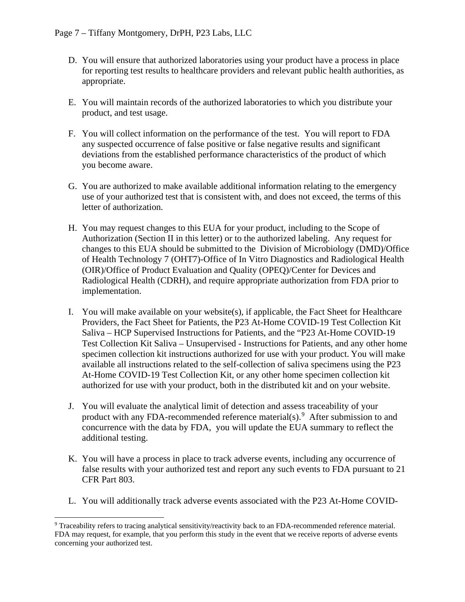- D. You will ensure that authorized laboratories using your product have a process in place for reporting test results to healthcare providers and relevant public health authorities, as appropriate.
- E. You will maintain records of the authorized laboratories to which you distribute your product, and test usage.
- F. You will collect information on the performance of the test. You will report to FDA any suspected occurrence of false positive or false negative results and significant deviations from the established performance characteristics of the product of which you become aware.
- G. You are authorized to make available additional information relating to the emergency use of your authorized test that is consistent with, and does not exceed, the terms of this letter of authorization.
- H. You may request changes to this EUA for your product, including to the Scope of Authorization (Section II in this letter) or to the authorized labeling. Any request for changes to this EUA should be submitted to the Division of Microbiology (DMD)/Office of Health Technology 7 (OHT7)-Office of In Vitro Diagnostics and Radiological Health (OIR)/Office of Product Evaluation and Quality (OPEQ)/Center for Devices and Radiological Health (CDRH), and require appropriate authorization from FDA prior to implementation.
- I. You will make available on your website(s), if applicable, the Fact Sheet for Healthcare Providers, the Fact Sheet for Patients, the P23 At-Home COVID-19 Test Collection Kit Saliva – HCP Supervised Instructions for Patients, and the "P23 At-Home COVID-19 Test Collection Kit Saliva – Unsupervised - Instructions for Patients, and any other home specimen collection kit instructions authorized for use with your product. You will make available all instructions related to the self-collection of saliva specimens using the P23 At-Home COVID-19 Test Collection Kit, or any other home specimen collection kit authorized for use with your product, both in the distributed kit and on your website.
- J. You will evaluate the analytical limit of detection and assess traceability of your product with any FDA-recommended reference material(s). $9$  After submission to and concurrence with the data by FDA, you will update the EUA summary to reflect the additional testing.
- K. You will have a process in place to track adverse events, including any occurrence of false results with your authorized test and report any such events to FDA pursuant to 21 CFR Part 803.
- L. You will additionally track adverse events associated with the P23 At-Home COVID-

<span id="page-6-0"></span> <sup>9</sup> Traceability refers to tracing analytical sensitivity/reactivity back to an FDA-recommended reference material. FDA may request, for example, that you perform this study in the event that we receive reports of adverse events concerning your authorized test.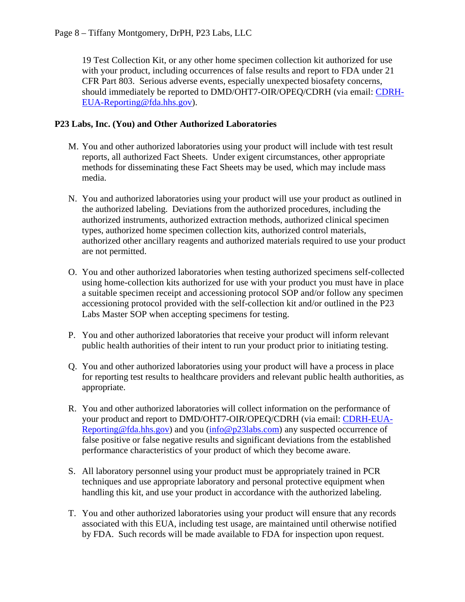19 Test Collection Kit, or any other home specimen collection kit authorized for use with your product, including occurrences of false results and report to FDA under 21 CFR Part 803. Serious adverse events, especially unexpected biosafety concerns, should immediately be reported to DMD/OHT7-OIR/OPEQ/CDRH (via email: [CDRH-](mailto:CDRH-EUA-Reporting@fda.hhs.gov)[EUA-Reporting@fda.hhs.gov\)](mailto:CDRH-EUA-Reporting@fda.hhs.gov).

## **P23 Labs, Inc. (You) and Other Authorized Laboratories**

- M. You and other authorized laboratories using your product will include with test result reports, all authorized Fact Sheets. Under exigent circumstances, other appropriate methods for disseminating these Fact Sheets may be used, which may include mass media.
- N. You and authorized laboratories using your product will use your product as outlined in the authorized labeling. Deviations from the authorized procedures, including the authorized instruments, authorized extraction methods, authorized clinical specimen types, authorized home specimen collection kits, authorized control materials, authorized other ancillary reagents and authorized materials required to use your product are not permitted.
- O. You and other authorized laboratories when testing authorized specimens self-collected using home-collection kits authorized for use with your product you must have in place a suitable specimen receipt and accessioning protocol SOP and/or follow any specimen accessioning protocol provided with the self-collection kit and/or outlined in the P23 Labs Master SOP when accepting specimens for testing.
- P. You and other authorized laboratories that receive your product will inform relevant public health authorities of their intent to run your product prior to initiating testing.
- Q. You and other authorized laboratories using your product will have a process in place for reporting test results to healthcare providers and relevant public health authorities, as appropriate.
- R. You and other authorized laboratories will collect information on the performance of your product and report to DMD/OHT7-OIR/OPEQ/CDRH (via email: [CDRH-EUA-](mailto:CDRH-EUA-Reporting@fda.hhs.gov)[Reporting@fda.hhs.gov\)](mailto:CDRH-EUA-Reporting@fda.hhs.gov) and you [\(info@p23labs.com\)](mailto:info@p23labs.com) any suspected occurrence of false positive or false negative results and significant deviations from the established performance characteristics of your product of which they become aware.
- S. All laboratory personnel using your product must be appropriately trained in PCR techniques and use appropriate laboratory and personal protective equipment when handling this kit, and use your product in accordance with the authorized labeling.
- T. You and other authorized laboratories using your product will ensure that any records associated with this EUA, including test usage, are maintained until otherwise notified by FDA. Such records will be made available to FDA for inspection upon request.